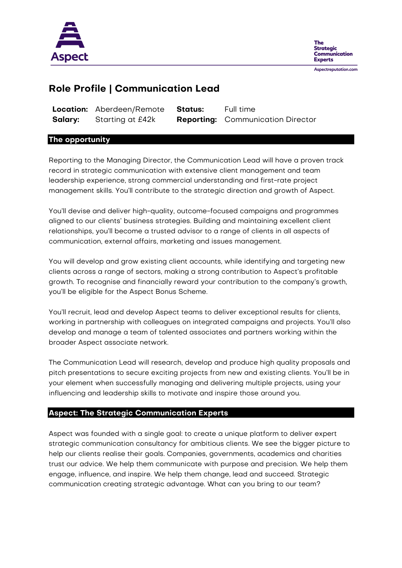

**The Strategic** Communication **Experts** 

Aspectreputation.com

# **Role Profile | Communication Lead**

|         | Location: Aberdeen/Remote Status: | Full time                                |
|---------|-----------------------------------|------------------------------------------|
| Salary: | Starting at £42k                  | <b>Reporting:</b> Communication Director |

## **The opportunity**

Reporting to the Managing Director, the Communication Lead will have a proven track record in strategic communication with extensive client management and team leadership experience, strong commercial understanding and first-rate project management skills. You'll contribute to the strategic direction and growth of Aspect.

You'll devise and deliver high-quality, outcome-focused campaigns and programmes aligned to our clients' business strategies. Building and maintaining excellent client relationships, you'll become a trusted advisor to a range of clients in all aspects of communication, external affairs, marketing and issues management.

You will develop and grow existing client accounts, while identifying and targeting new clients across a range of sectors, making a strong contribution to Aspect's profitable growth. To recognise and financially reward your contribution to the company's growth, you'll be eligible for the Aspect Bonus Scheme.

You'll recruit, lead and develop Aspect teams to deliver exceptional results for clients, working in partnership with colleagues on integrated campaigns and projects. You'll also develop and manage a team of talented associates and partners working within the broader Aspect associate network.

The Communication Lead will research, develop and produce high quality proposals and pitch presentations to secure exciting projects from new and existing clients. You'll be in your element when successfully managing and delivering multiple projects, using your influencing and leadership skills to motivate and inspire those around you.

## **Aspect: The Strategic Communication Experts**

Aspect was founded with a single goal: to create a unique platform to deliver expert strategic communication consultancy for ambitious clients. We see the bigger picture to help our clients realise their goals. Companies, governments, academics and charities trust our advice. We help them communicate with purpose and precision. We help them engage, influence, and inspire. We help them change, lead and succeed. Strategic communication creating strategic advantage. What can you bring to our team?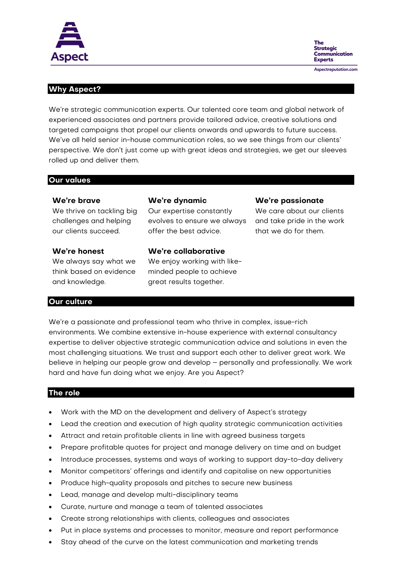

**The** Strategic Communication **Experts** Aspectreputation.com

## **Why Aspect?**

We're strategic communication experts. Our talented core team and global network of experienced associates and partners provide tailored advice, creative solutions and targeted campaigns that propel our clients onwards and upwards to future success. We've all held senior in-house communication roles, so we see things from our clients' perspective. We don't just come up with great ideas and strategies, we get our sleeves rolled up and deliver them.

#### **Our values**

#### **We're brave**

We thrive on tackling big challenges and helping our clients succeed.

#### **We're honest**

We always say what we think based on evidence and knowledge.

## **We're dynamic**

Our expertise constantly evolves to ensure we always offer the best advice.

**We're collaborative** We enjoy working with likeminded people to achieve great results together.

#### **We're passionate**

We care about our clients and take pride in the work that we do for them.

# **Our culture**

We're a passionate and professional team who thrive in complex, issue-rich environments. We combine extensive in-house experience with external consultancy expertise to deliver objective strategic communication advice and solutions in even the most challenging situations. We trust and support each other to deliver great work. We believe in helping our people grow and develop – personally and professionally. We work hard and have fun doing what we enjoy. Are you Aspect?

### **The role**

- Work with the MD on the development and delivery of Aspect's strategy
- Lead the creation and execution of high quality strategic communication activities
- Attract and retain profitable clients in line with agreed business targets
- Prepare profitable quotes for project and manage delivery on time and on budget
- Introduce processes, systems and ways of working to support day-to-day delivery
- Monitor competitors' offerings and identify and capitalise on new opportunities
- Produce high-quality proposals and pitches to secure new business
- Lead, manage and develop multi-disciplinary teams
- Curate, nurture and manage a team of talented associates
- Create strong relationships with clients, colleagues and associates
- Put in place systems and processes to monitor, measure and report performance
- Stay ahead of the curve on the latest communication and marketing trends